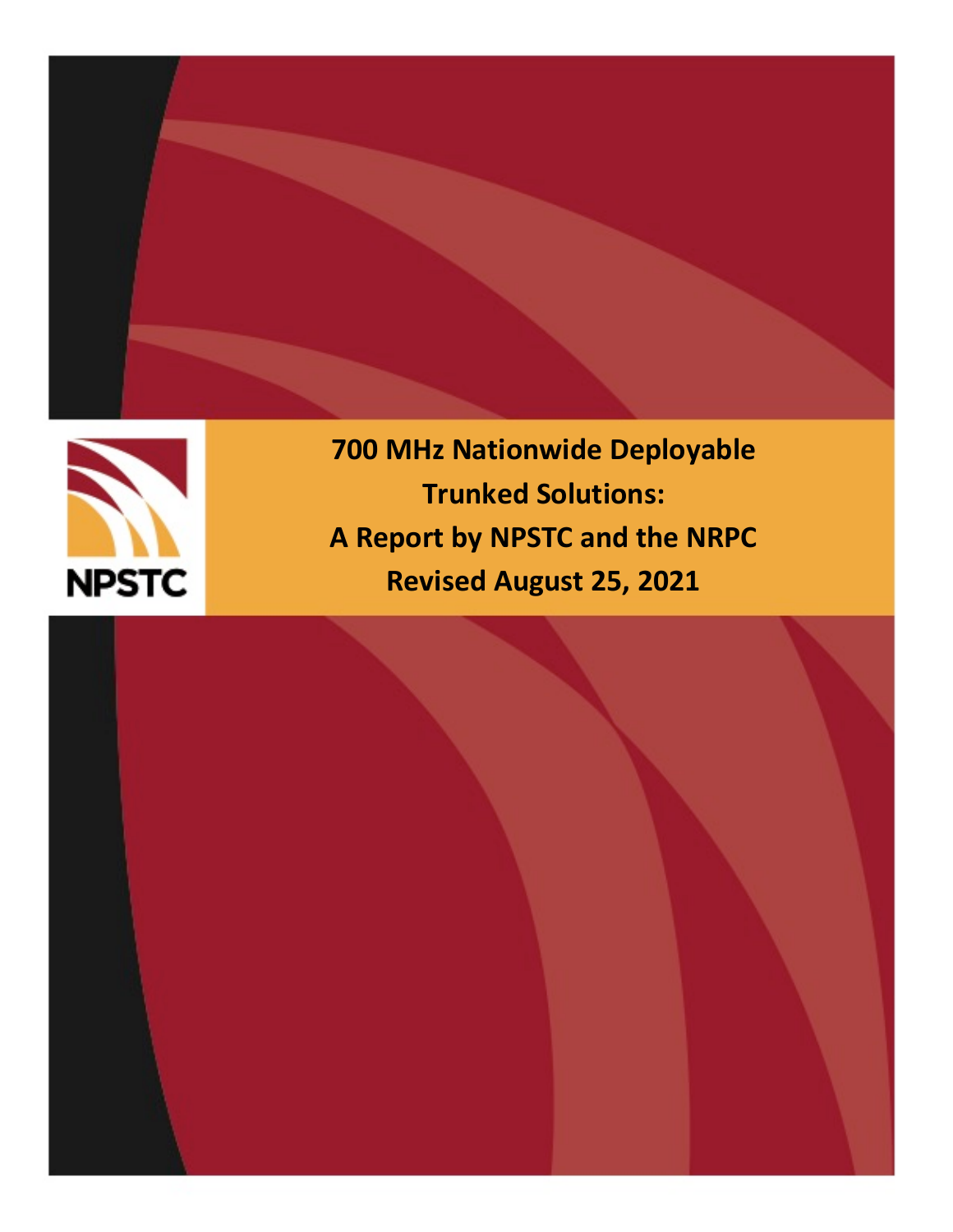

**700 MHz Nationwide Deployable Trunked Solutions: A Report by NPSTC and the NRPC Revised August 25, 2021**

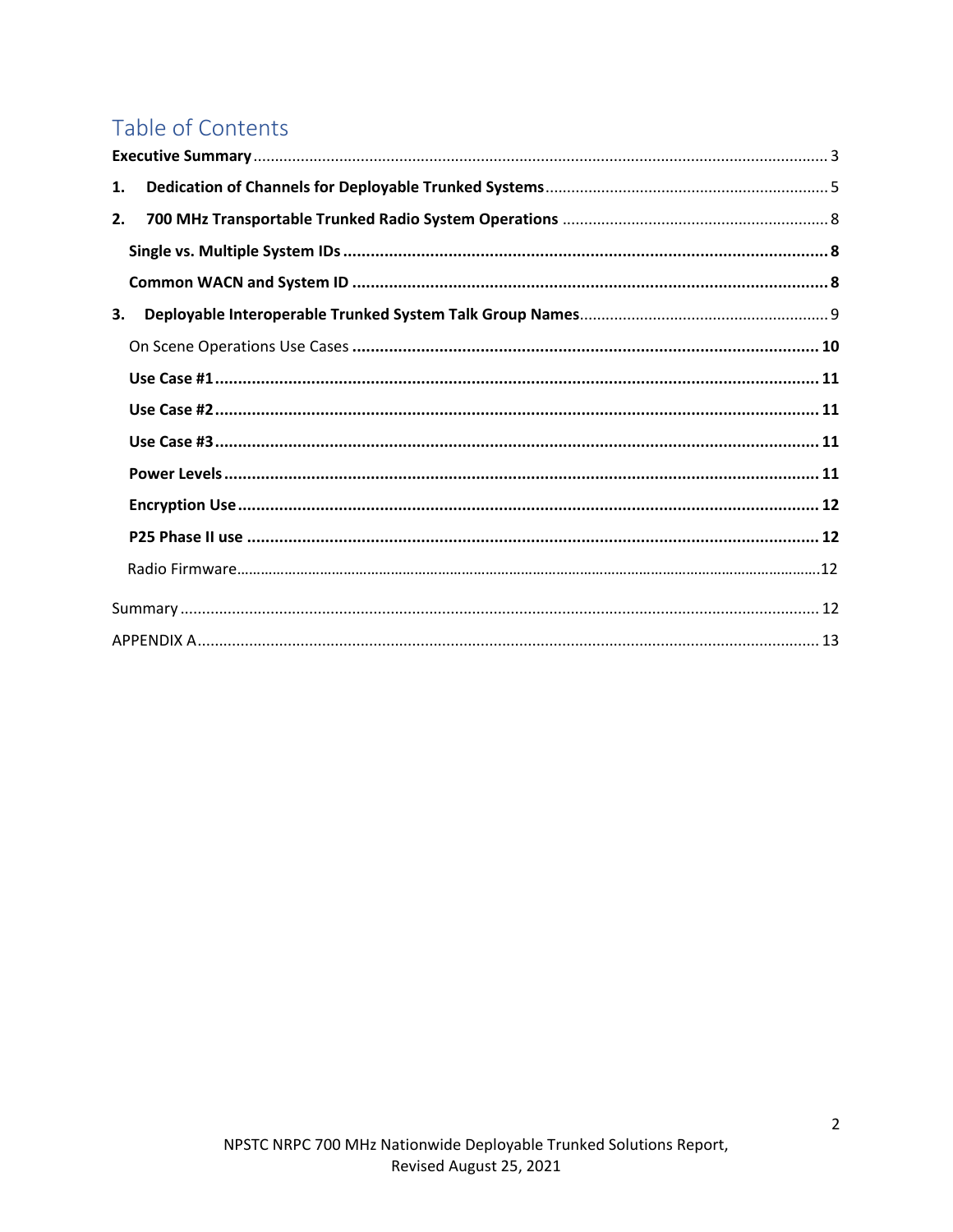# Table of Contents

| 1. |  |
|----|--|
| 2. |  |
|    |  |
|    |  |
| 3. |  |
|    |  |
|    |  |
|    |  |
|    |  |
|    |  |
|    |  |
|    |  |
|    |  |
|    |  |
|    |  |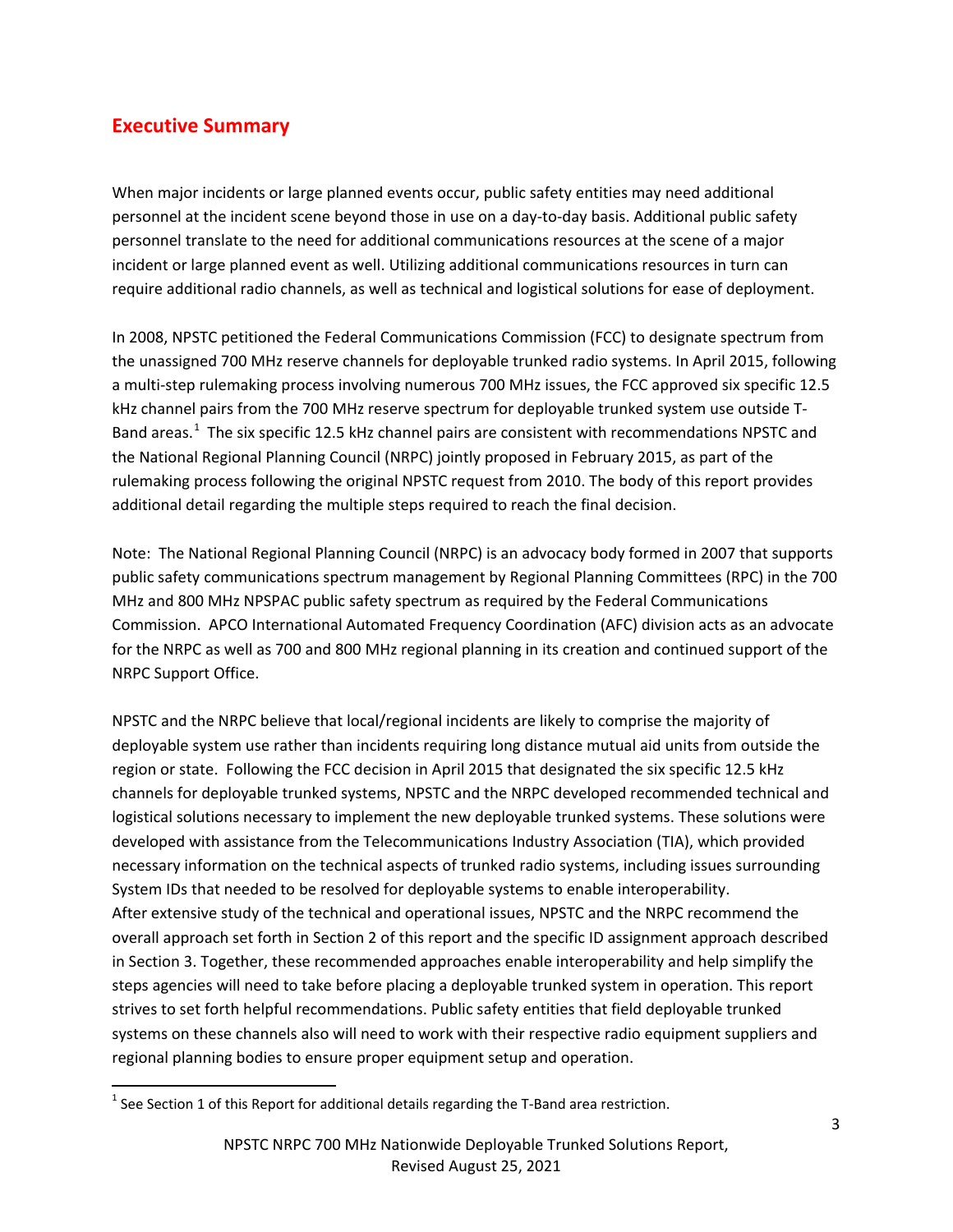## <span id="page-2-0"></span>**Executive Summary**

When major incidents or large planned events occur, public safety entities may need additional personnel at the incident scene beyond those in use on a day-to-day basis. Additional public safety personnel translate to the need for additional communications resources at the scene of a major incident or large planned event as well. Utilizing additional communications resources in turn can require additional radio channels, as well as technical and logistical solutions for ease of deployment.

In 2008, NPSTC petitioned the Federal Communications Commission (FCC) to designate spectrum from the unassigned 700 MHz reserve channels for deployable trunked radio systems. In April 2015, following a multi-step rulemaking process involving numerous 700 MHz issues, the FCC approved six specific 12.5 kHz channel pairs from the 700 MHz reserve spectrum for deployable trunked system use outside T-Band areas.<sup>[1](#page-2-1)</sup> The six specific 12.5 kHz channel pairs are consistent with recommendations NPSTC and the National Regional Planning Council (NRPC) jointly proposed in February 2015, as part of the rulemaking process following the original NPSTC request from 2010. The body of this report provides additional detail regarding the multiple steps required to reach the final decision.

Note: The National Regional Planning Council (NRPC) is an advocacy body formed in 2007 that supports public safety communications spectrum management by Regional Planning Committees (RPC) in the 700 MHz and 800 MHz NPSPAC public safety spectrum as required by the Federal Communications Commission. APCO International Automated Frequency Coordination (AFC) division acts as an advocate for the NRPC as well as 700 and 800 MHz regional planning in its creation and continued support of the NRPC Support Office.

NPSTC and the NRPC believe that local/regional incidents are likely to comprise the majority of deployable system use rather than incidents requiring long distance mutual aid units from outside the region or state. Following the FCC decision in April 2015 that designated the six specific 12.5 kHz channels for deployable trunked systems, NPSTC and the NRPC developed recommended technical and logistical solutions necessary to implement the new deployable trunked systems. These solutions were developed with assistance from the Telecommunications Industry Association (TIA), which provided necessary information on the technical aspects of trunked radio systems, including issues surrounding System IDs that needed to be resolved for deployable systems to enable interoperability. After extensive study of the technical and operational issues, NPSTC and the NRPC recommend the overall approach set forth in Section 2 of this report and the specific ID assignment approach described in Section 3. Together, these recommended approaches enable interoperability and help simplify the steps agencies will need to take before placing a deployable trunked system in operation. This report strives to set forth helpful recommendations. Public safety entities that field deployable trunked systems on these channels also will need to work with their respective radio equipment suppliers and regional planning bodies to ensure proper equipment setup and operation.

<span id="page-2-1"></span> $<sup>1</sup>$  See Section 1 of this Report for additional details regarding the T-Band area restriction.</sup>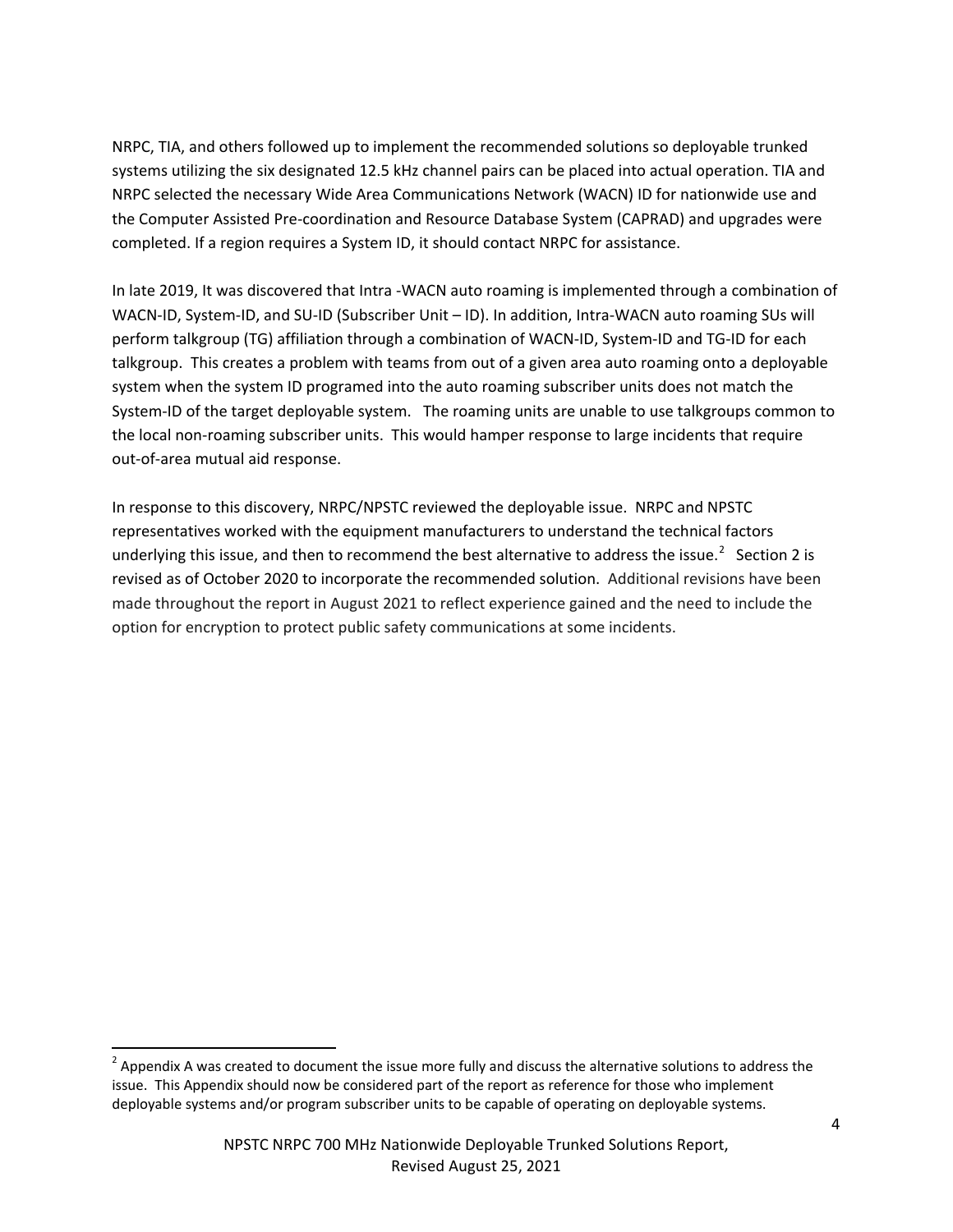NRPC, TIA, and others followed up to implement the recommended solutions so deployable trunked systems utilizing the six designated 12.5 kHz channel pairs can be placed into actual operation. TIA and NRPC selected the necessary Wide Area Communications Network (WACN) ID for nationwide use and the Computer Assisted Pre-coordination and Resource Database System (CAPRAD) and upgrades were completed. If a region requires a System ID, it should contact NRPC for assistance.

In late 2019, It was discovered that Intra -WACN auto roaming is implemented through a combination of WACN-ID, System-ID, and SU-ID (Subscriber Unit – ID). In addition, Intra-WACN auto roaming SUs will perform talkgroup (TG) affiliation through a combination of WACN-ID, System-ID and TG-ID for each talkgroup. This creates a problem with teams from out of a given area auto roaming onto a deployable system when the system ID programed into the auto roaming subscriber units does not match the System-ID of the target deployable system. The roaming units are unable to use talkgroups common to the local non-roaming subscriber units. This would hamper response to large incidents that require out-of-area mutual aid response.

In response to this discovery, NRPC/NPSTC reviewed the deployable issue. NRPC and NPSTC representatives worked with the equipment manufacturers to understand the technical factors underlying this issue, and then to recommend the best alternative to address the issue.<sup>[2](#page-3-0)</sup> Section 2 is revised as of October 2020 to incorporate the recommended solution. Additional revisions have been made throughout the report in August 2021 to reflect experience gained and the need to include the option for encryption to protect public safety communications at some incidents.

<span id="page-3-0"></span> $2$  Appendix A was created to document the issue more fully and discuss the alternative solutions to address the issue. This Appendix should now be considered part of the report as reference for those who implement deployable systems and/or program subscriber units to be capable of operating on deployable systems.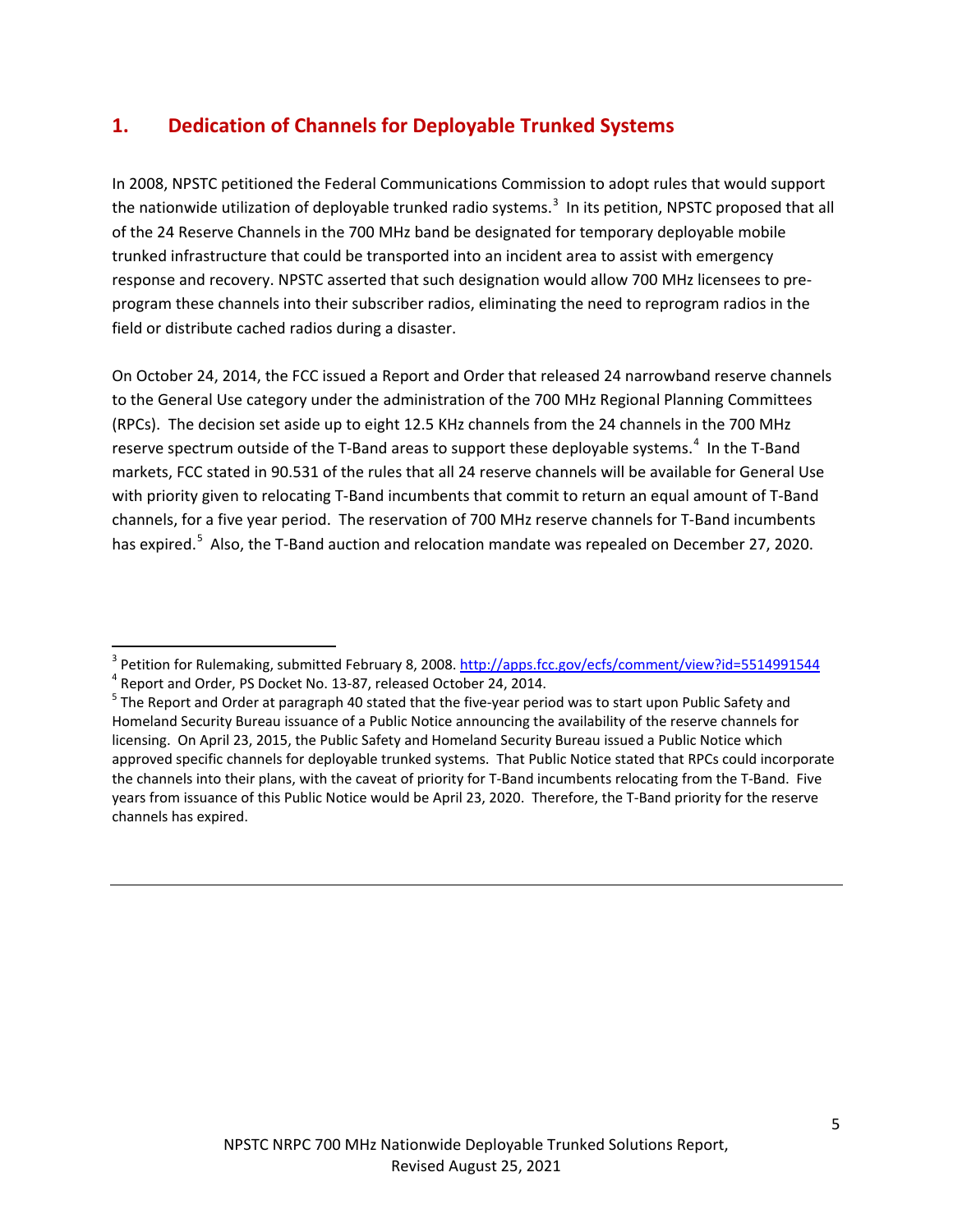## <span id="page-4-0"></span>**1. Dedication of Channels for Deployable Trunked Systems**

In 2008, NPSTC petitioned the Federal Communications Commission to adopt rules that would support the nationwide utilization of deployable trunked radio systems.<sup>[3](#page-4-1)</sup> In its petition, NPSTC proposed that all of the 24 Reserve Channels in the 700 MHz band be designated for temporary deployable mobile trunked infrastructure that could be transported into an incident area to assist with emergency response and recovery. NPSTC asserted that such designation would allow 700 MHz licensees to preprogram these channels into their subscriber radios, eliminating the need to reprogram radios in the field or distribute cached radios during a disaster.

On October 24, 2014, the FCC issued a Report and Order that released 24 narrowband reserve channels to the General Use category under the administration of the 700 MHz Regional Planning Committees (RPCs). The decision set aside up to eight 12.5 KHz channels from the 24 channels in the 700 MHz reserve spectrum outside of the T-Band areas to support these deployable systems.<sup>[4](#page-4-2)</sup> In the T-Band markets, FCC stated in 90.531 of the rules that all 24 reserve channels will be available for General Use with priority given to relocating T-Band incumbents that commit to return an equal amount of T-Band channels, for a five year period. The reservation of 700 MHz reserve channels for T-Band incumbents has expired.<sup>[5](#page-4-3)</sup> Also, the T-Band auction and relocation mandate was repealed on December 27, 2020.

<span id="page-4-1"></span><sup>&</sup>lt;sup>3</sup> Petition for Rulemaking, submitted February 8, 2008[. http://apps.fcc.gov/ecfs/comment/view?id=5514991544](http://apps.fcc.gov/ecfs/comment/view?id=5514991544)<br><sup>4</sup> Report and Order, PS Docket No. 13-87, released October 24, 2014.<br><sup>5</sup> The Report and Order at paragraph 40 s

<span id="page-4-2"></span>

<span id="page-4-3"></span>Homeland Security Bureau issuance of a Public Notice announcing the availability of the reserve channels for licensing. On April 23, 2015, the Public Safety and Homeland Security Bureau issued a Public Notice which approved specific channels for deployable trunked systems. That Public Notice stated that RPCs could incorporate the channels into their plans, with the caveat of priority for T-Band incumbents relocating from the T-Band. Five years from issuance of this Public Notice would be April 23, 2020. Therefore, the T-Band priority for the reserve channels has expired.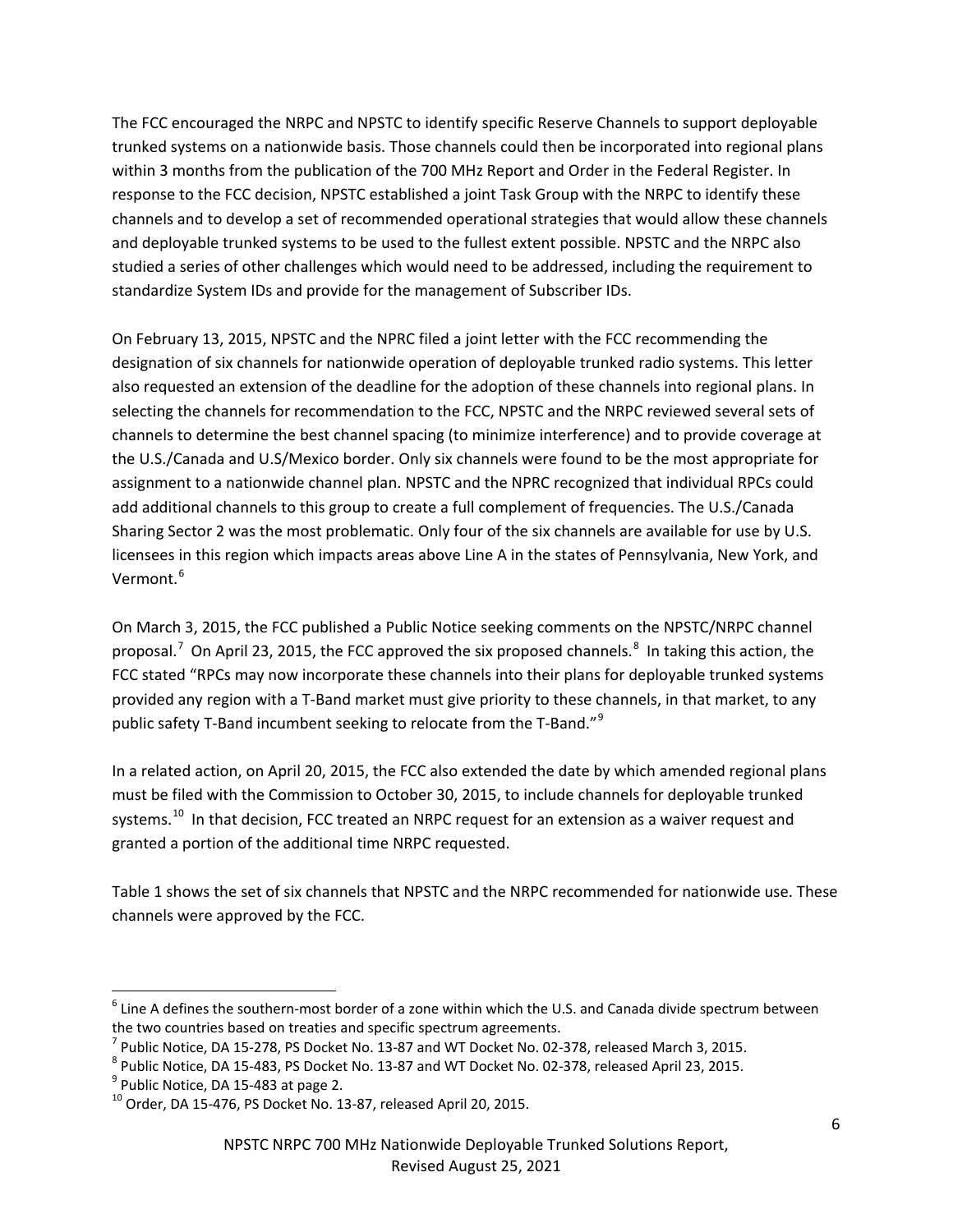The FCC encouraged the NRPC and NPSTC to identify specific Reserve Channels to support deployable trunked systems on a nationwide basis. Those channels could then be incorporated into regional plans within 3 months from the publication of the 700 MHz Report and Order in the Federal Register. In response to the FCC decision, NPSTC established a joint Task Group with the NRPC to identify these channels and to develop a set of recommended operational strategies that would allow these channels and deployable trunked systems to be used to the fullest extent possible. NPSTC and the NRPC also studied a series of other challenges which would need to be addressed, including the requirement to standardize System IDs and provide for the management of Subscriber IDs.

On February 13, 2015, NPSTC and the NPRC filed a joint letter with the FCC recommending the designation of six channels for nationwide operation of deployable trunked radio systems. This letter also requested an extension of the deadline for the adoption of these channels into regional plans. In selecting the channels for recommendation to the FCC, NPSTC and the NRPC reviewed several sets of channels to determine the best channel spacing (to minimize interference) and to provide coverage at the U.S./Canada and U.S/Mexico border. Only six channels were found to be the most appropriate for assignment to a nationwide channel plan. NPSTC and the NPRC recognized that individual RPCs could add additional channels to this group to create a full complement of frequencies. The U.S./Canada Sharing Sector 2 was the most problematic. Only four of the six channels are available for use by U.S. licensees in this region which impacts areas above Line A in the states of Pennsylvania, New York, and Vermont.<sup>[6](#page-5-0)</sup>

On March 3, 2015, the FCC published a Public Notice seeking comments on the NPSTC/NRPC channel proposal.<sup>[7](#page-5-1)</sup> On April 23, 2015, the FCC approved the six proposed channels.<sup>[8](#page-5-2)</sup> In taking this action, the FCC stated "RPCs may now incorporate these channels into their plans for deployable trunked systems provided any region with a T-Band market must give priority to these channels, in that market, to any public safety T-Band incumbent seeking to relocate from the T-Band."<sup>[9](#page-5-3)</sup>

In a related action, on April 20, 2015, the FCC also extended the date by which amended regional plans must be filed with the Commission to October 30, 2015, to include channels for deployable trunked systems.<sup>[10](#page-5-4)</sup> In that decision, FCC treated an NRPC request for an extension as a waiver request and granted a portion of the additional time NRPC requested.

Table 1 shows the set of six channels that NPSTC and the NRPC recommended for nationwide use. These channels were approved by the FCC.

<span id="page-5-0"></span> $6$  Line A defines the southern-most border of a zone within which the U.S. and Canada divide spectrum between the two countries based on treaties and specific spectrum agreements.

<span id="page-5-2"></span><span id="page-5-1"></span>

 $^7$  Public Notice, DA 15-278, PS Docket No. 13-87 and WT Docket No. 02-378, released March 3, 2015.<br>  $^8$  Public Notice, DA 15-483, PS Docket No. 13-87 and WT Docket No. 02-378, released April 23, 2015.<br>  $^9$  Public Noti

<span id="page-5-3"></span>

<span id="page-5-4"></span>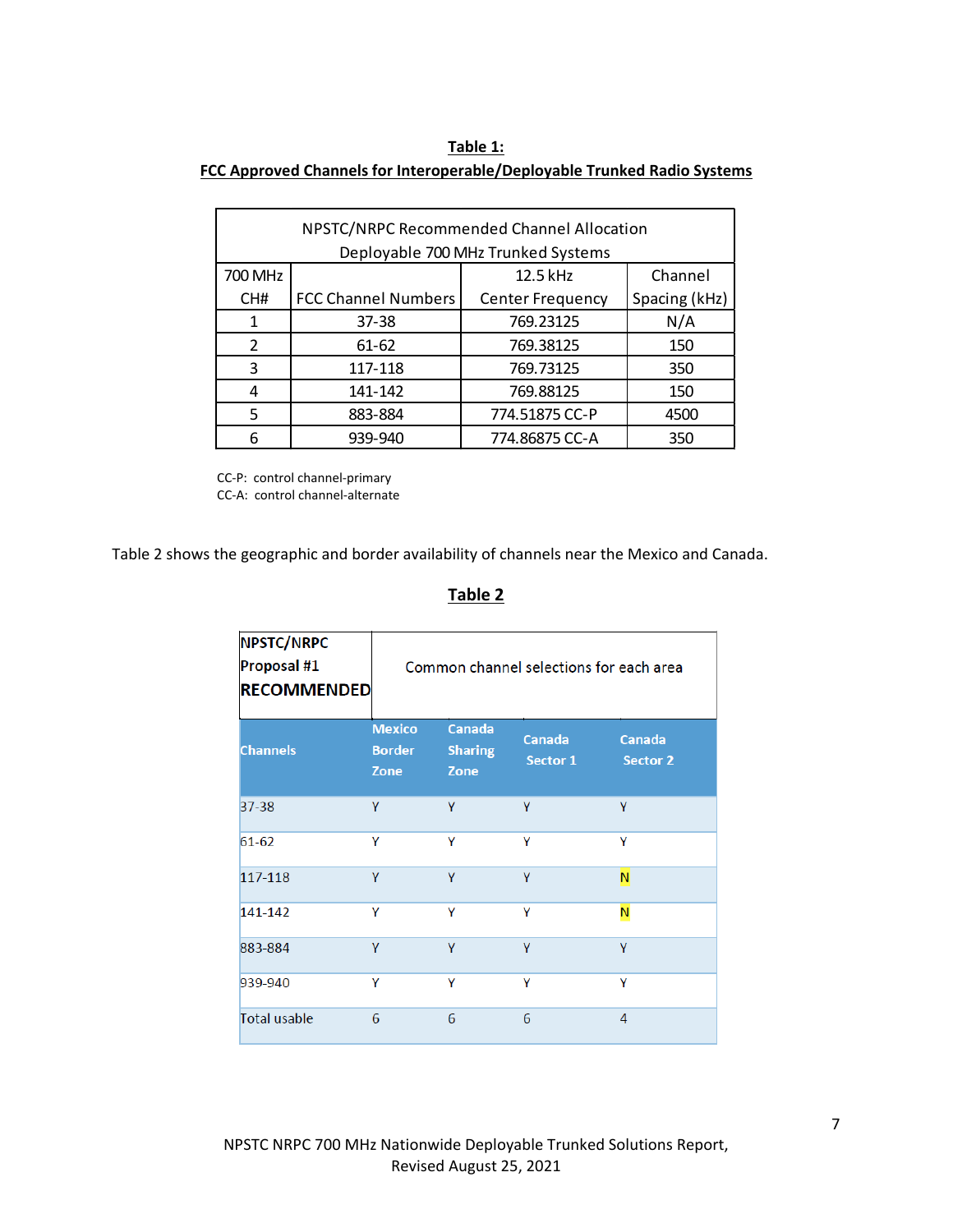#### **Table 1:**

#### **FCC Approved Channels for Interoperable/Deployable Trunked Radio Systems**

| NPSTC/NRPC Recommended Channel Allocation |                            |                         |               |
|-------------------------------------------|----------------------------|-------------------------|---------------|
| Deployable 700 MHz Trunked Systems        |                            |                         |               |
| 700 MHz                                   |                            | 12.5 kHz                | Channel       |
| CH#                                       | <b>FCC Channel Numbers</b> | <b>Center Frequency</b> | Spacing (kHz) |
| 1                                         | $37 - 38$                  | 769.23125               | N/A           |
| $\mathfrak{p}$                            | $61 - 62$                  | 769.38125               | 150           |
| 3                                         | 117-118                    | 769.73125               | 350           |
| 4                                         | 141-142                    | 769.88125               | 150           |
| 5                                         | 883-884                    | 774.51875 CC-P          | 4500          |
| 6                                         | 939-940                    | 774.86875 CC-A          | 350           |

CC-P: control channel-primary CC-A: control channel-alternate

Table 2 shows the geographic and border availability of channels near the Mexico and Canada.

### **Table 2**

| <b>NPSTC/NRPC</b><br>Proposal #1<br><b>RECOMMENDED</b> | Common channel selections for each area |                                         |                           |                                  |
|--------------------------------------------------------|-----------------------------------------|-----------------------------------------|---------------------------|----------------------------------|
| <b>Channels</b>                                        | <b>Mexico</b><br><b>Border</b><br>Zone  | <b>Canada</b><br><b>Sharing</b><br>Zone | <b>Canada</b><br>Sector 1 | <b>Canada</b><br><b>Sector 2</b> |
| 37-38                                                  | Y                                       | Y                                       | Y                         | Y                                |
| 61-62                                                  | Υ                                       | Υ                                       | Υ                         | Υ                                |
| 117-118                                                | Ÿ                                       | Ÿ                                       | Y                         | N                                |
| 141-142                                                | Υ                                       | Υ                                       | Υ                         | N                                |
| 883-884                                                | Y                                       | Y                                       | Y                         | Y                                |
| 939-940                                                | Υ                                       | Υ                                       | Υ                         | Y                                |
| <b>Total usable</b>                                    | 6                                       | 6                                       | 6                         | $\overline{4}$                   |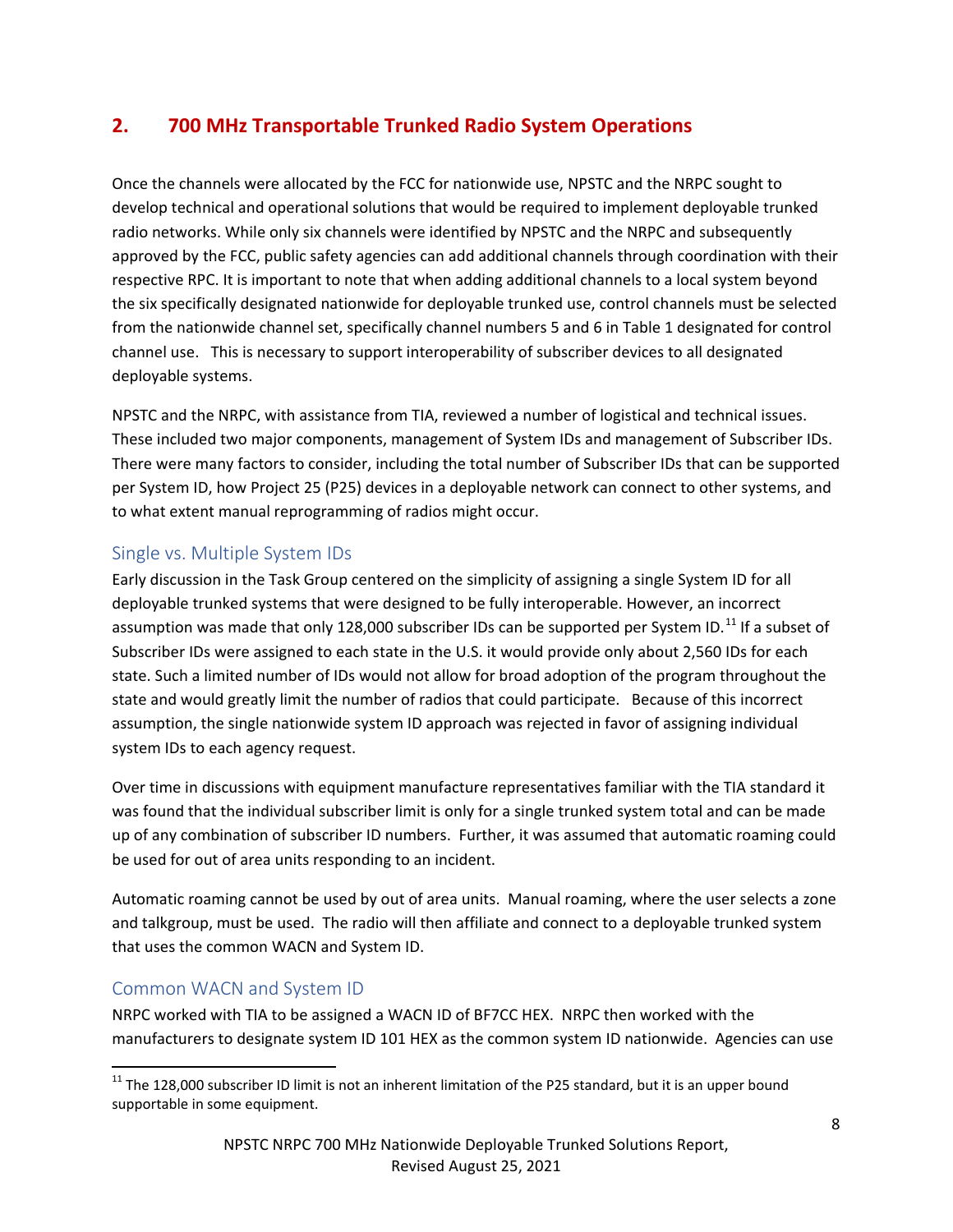# <span id="page-7-0"></span>**2. 700 MHz Transportable Trunked Radio System Operations**

Once the channels were allocated by the FCC for nationwide use, NPSTC and the NRPC sought to develop technical and operational solutions that would be required to implement deployable trunked radio networks. While only six channels were identified by NPSTC and the NRPC and subsequently approved by the FCC, public safety agencies can add additional channels through coordination with their respective RPC. It is important to note that when adding additional channels to a local system beyond the six specifically designated nationwide for deployable trunked use, control channels must be selected from the nationwide channel set, specifically channel numbers 5 and 6 in Table 1 designated for control channel use. This is necessary to support interoperability of subscriber devices to all designated deployable systems.

NPSTC and the NRPC, with assistance from TIA, reviewed a number of logistical and technical issues. These included two major components, management of System IDs and management of Subscriber IDs. There were many factors to consider, including the total number of Subscriber IDs that can be supported per System ID, how Project 25 (P25) devices in a deployable network can connect to other systems, and to what extent manual reprogramming of radios might occur.

### <span id="page-7-1"></span>Single vs. Multiple System IDs

Early discussion in the Task Group centered on the simplicity of assigning a single System ID for all deployable trunked systems that were designed to be fully interoperable. However, an incorrect assumption was made that only 128,000 subscriber IDs can be supported per System ID.<sup>[11](#page-7-3)</sup> If a subset of Subscriber IDs were assigned to each state in the U.S. it would provide only about 2,560 IDs for each state. Such a limited number of IDs would not allow for broad adoption of the program throughout the state and would greatly limit the number of radios that could participate. Because of this incorrect assumption, the single nationwide system ID approach was rejected in favor of assigning individual system IDs to each agency request.

Over time in discussions with equipment manufacture representatives familiar with the TIA standard it was found that the individual subscriber limit is only for a single trunked system total and can be made up of any combination of subscriber ID numbers. Further, it was assumed that automatic roaming could be used for out of area units responding to an incident.

Automatic roaming cannot be used by out of area units. Manual roaming, where the user selects a zone and talkgroup, must be used. The radio will then affiliate and connect to a deployable trunked system that uses the common WACN and System ID.

### <span id="page-7-2"></span>Common WACN and System ID

NRPC worked with TIA to be assigned a WACN ID of BF7CC HEX. NRPC then worked with the manufacturers to designate system ID 101 HEX as the common system ID nationwide. Agencies can use

<span id="page-7-3"></span> $11$  The 128.000 subscriber ID limit is not an inherent limitation of the P25 standard, but it is an upper bound supportable in some equipment.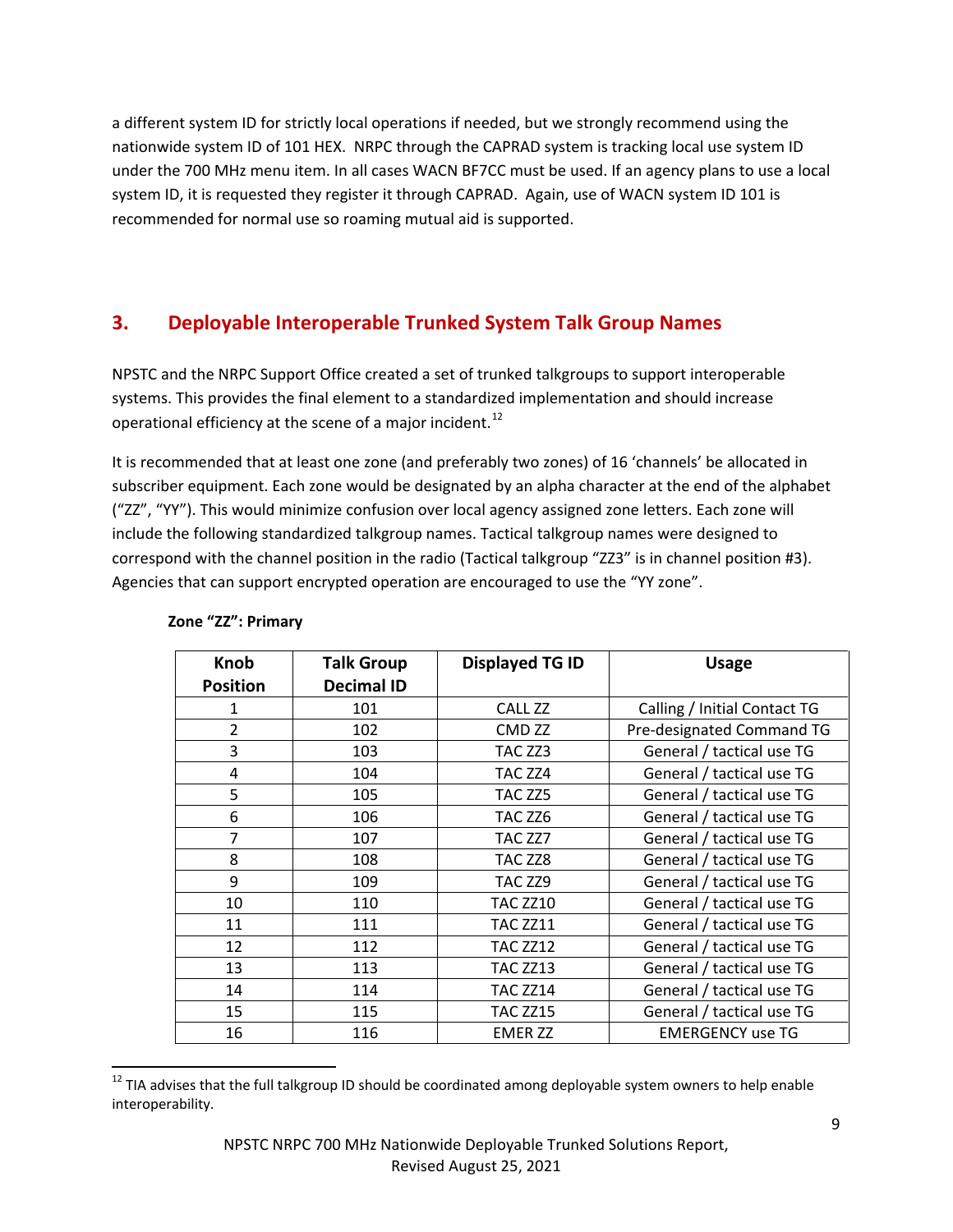a different system ID for strictly local operations if needed, but we strongly recommend using the nationwide system ID of 101 HEX. NRPC through the CAPRAD system is tracking local use system ID under the 700 MHz menu item. In all cases WACN BF7CC must be used. If an agency plans to use a local system ID, it is requested they register it through CAPRAD. Again, use of WACN system ID 101 is recommended for normal use so roaming mutual aid is supported.

# <span id="page-8-0"></span>**3. Deployable Interoperable Trunked System Talk Group Names**

NPSTC and the NRPC Support Office created a set of trunked talkgroups to support interoperable systems. This provides the final element to a standardized implementation and should increase operational efficiency at the scene of a major incident.<sup>[12](#page-8-1)</sup>

It is recommended that at least one zone (and preferably two zones) of 16 'channels' be allocated in subscriber equipment. Each zone would be designated by an alpha character at the end of the alphabet ("ZZ", "YY"). This would minimize confusion over local agency assigned zone letters. Each zone will include the following standardized talkgroup names. Tactical talkgroup names were designed to correspond with the channel position in the radio (Tactical talkgroup "ZZ3" is in channel position #3). Agencies that can support encrypted operation are encouraged to use the "YY zone".

| <b>Knob</b>     | <b>Talk Group</b> | <b>Displayed TG ID</b> | <b>Usage</b>                 |
|-----------------|-------------------|------------------------|------------------------------|
| <b>Position</b> | <b>Decimal ID</b> |                        |                              |
| 1               | 101               | CALL ZZ                | Calling / Initial Contact TG |
| $\overline{2}$  | 102               | CMD <sub>ZZ</sub>      | Pre-designated Command TG    |
| 3               | 103               | TAC ZZ3                | General / tactical use TG    |
| 4               | 104               | TAC ZZ4                | General / tactical use TG    |
| 5               | 105               | TAC ZZ5                | General / tactical use TG    |
| 6               | 106               | TAC ZZ6                | General / tactical use TG    |
| 7               | 107               | TAC ZZ7                | General / tactical use TG    |
| 8               | 108               | TAC ZZ8                | General / tactical use TG    |
| 9               | 109               | TAC ZZ9                | General / tactical use TG    |
| 10              | 110               | <b>TAC ZZ10</b>        | General / tactical use TG    |
| 11              | 111               | <b>TAC ZZ11</b>        | General / tactical use TG    |
| 12              | 112               | <b>TAC ZZ12</b>        | General / tactical use TG    |
| 13              | 113               | <b>TAC ZZ13</b>        | General / tactical use TG    |
| 14              | 114               | <b>TAC ZZ14</b>        | General / tactical use TG    |
| 15              | 115               | <b>TAC ZZ15</b>        | General / tactical use TG    |
| 16              | 116               | <b>EMER ZZ</b>         | <b>EMERGENCY use TG</b>      |

#### **Zone "ZZ": Primary**

<span id="page-8-1"></span><sup>&</sup>lt;sup>12</sup> TIA advises that the full talkgroup ID should be coordinated among deployable system owners to help enable interoperability.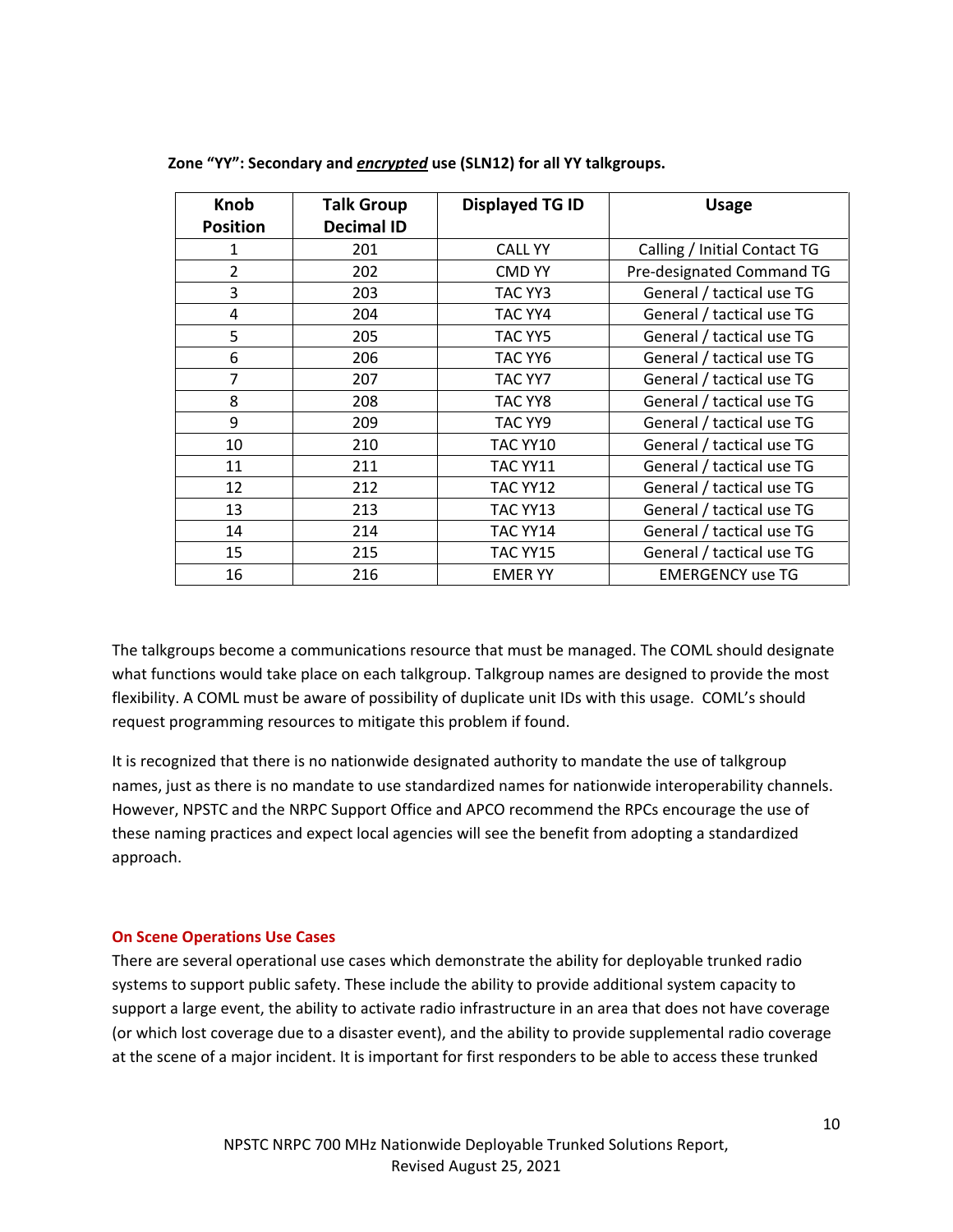| <b>Knob</b>     | <b>Talk Group</b> | <b>Displayed TG ID</b> | <b>Usage</b>                 |
|-----------------|-------------------|------------------------|------------------------------|
| <b>Position</b> | <b>Decimal ID</b> |                        |                              |
| 1               | 201               | <b>CALL YY</b>         | Calling / Initial Contact TG |
| $\overline{2}$  | 202               | <b>CMD YY</b>          | Pre-designated Command TG    |
| 3               | 203               | TAC YY3                | General / tactical use TG    |
| 4               | 204               | TAC YY4                | General / tactical use TG    |
| 5               | 205               | TAC YY5                | General / tactical use TG    |
| 6               | 206               | TAC YY6                | General / tactical use TG    |
| 7               | 207               | TAC YY7                | General / tactical use TG    |
| 8               | 208               | TAC YY8                | General / tactical use TG    |
| 9               | 209               | TAC YY9                | General / tactical use TG    |
| 10              | 210               | TAC YY10               | General / tactical use TG    |
| 11              | 211               | TAC YY11               | General / tactical use TG    |
| 12              | 212               | TAC YY12               | General / tactical use TG    |
| 13              | 213               | TAC YY13               | General / tactical use TG    |
| 14              | 214               | TAC YY14               | General / tactical use TG    |
| 15              | 215               | TAC YY15               | General / tactical use TG    |
| 16              | 216               | <b>EMER YY</b>         | <b>EMERGENCY use TG</b>      |

**Zone "YY": Secondary and** *encrypted* **use (SLN12) for all YY talkgroups.**

The talkgroups become a communications resource that must be managed. The COML should designate what functions would take place on each talkgroup. Talkgroup names are designed to provide the most flexibility. A COML must be aware of possibility of duplicate unit IDs with this usage. COML's should request programming resources to mitigate this problem if found.

It is recognized that there is no nationwide designated authority to mandate the use of talkgroup names, just as there is no mandate to use standardized names for nationwide interoperability channels. However, NPSTC and the NRPC Support Office and APCO recommend the RPCs encourage the use of these naming practices and expect local agencies will see the benefit from adopting a standardized approach.

#### <span id="page-9-0"></span>**On Scene Operations Use Cases**

There are several operational use cases which demonstrate the ability for deployable trunked radio systems to support public safety. These include the ability to provide additional system capacity to support a large event, the ability to activate radio infrastructure in an area that does not have coverage (or which lost coverage due to a disaster event), and the ability to provide supplemental radio coverage at the scene of a major incident. It is important for first responders to be able to access these trunked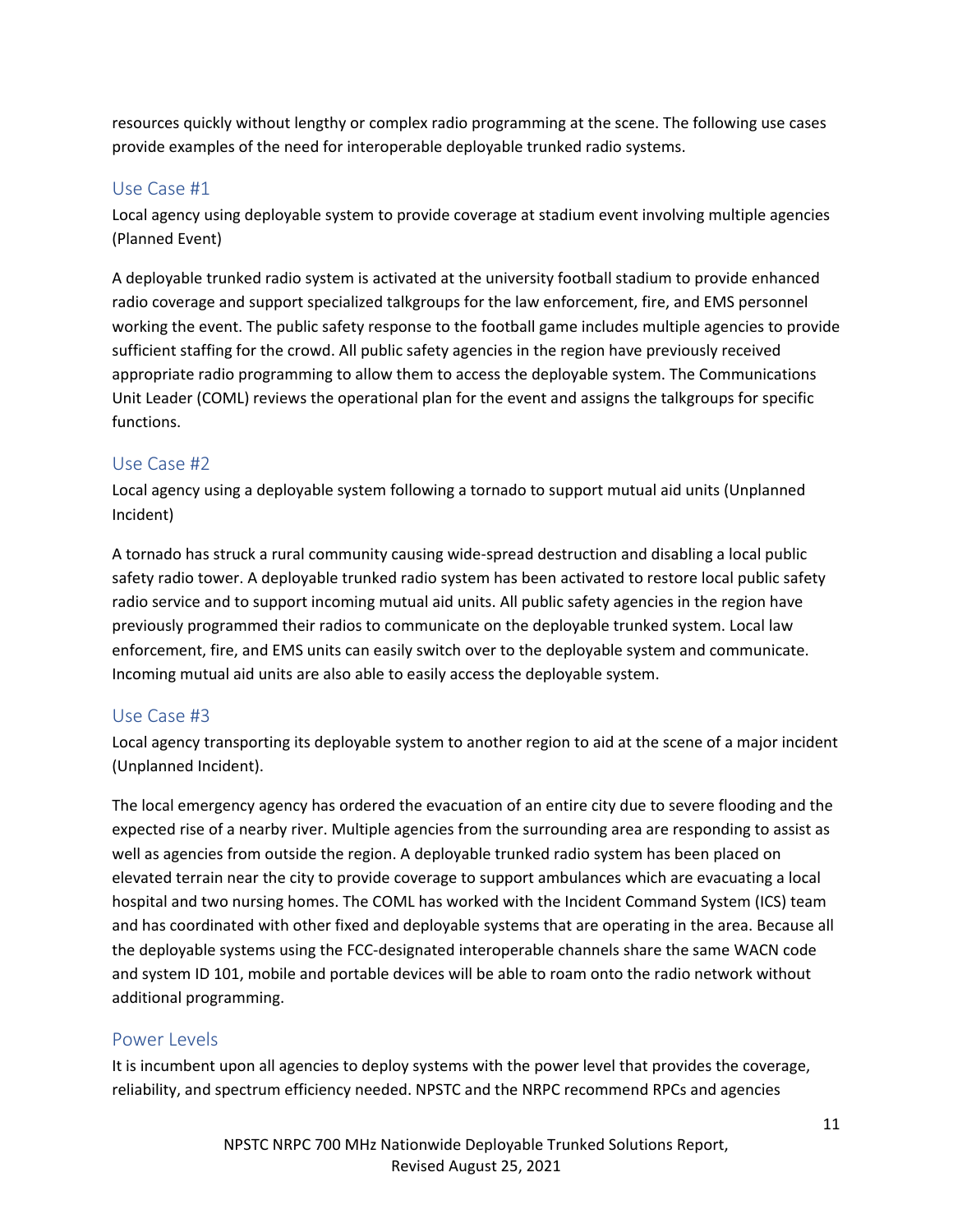resources quickly without lengthy or complex radio programming at the scene. The following use cases provide examples of the need for interoperable deployable trunked radio systems.

#### <span id="page-10-0"></span>Use Case #1

Local agency using deployable system to provide coverage at stadium event involving multiple agencies (Planned Event)

A deployable trunked radio system is activated at the university football stadium to provide enhanced radio coverage and support specialized talkgroups for the law enforcement, fire, and EMS personnel working the event. The public safety response to the football game includes multiple agencies to provide sufficient staffing for the crowd. All public safety agencies in the region have previously received appropriate radio programming to allow them to access the deployable system. The Communications Unit Leader (COML) reviews the operational plan for the event and assigns the talkgroups for specific functions.

#### <span id="page-10-1"></span>Use Case #2

Local agency using a deployable system following a tornado to support mutual aid units (Unplanned Incident)

A tornado has struck a rural community causing wide-spread destruction and disabling a local public safety radio tower. A deployable trunked radio system has been activated to restore local public safety radio service and to support incoming mutual aid units. All public safety agencies in the region have previously programmed their radios to communicate on the deployable trunked system. Local law enforcement, fire, and EMS units can easily switch over to the deployable system and communicate. Incoming mutual aid units are also able to easily access the deployable system.

#### <span id="page-10-2"></span>Use Case #3

Local agency transporting its deployable system to another region to aid at the scene of a major incident (Unplanned Incident).

The local emergency agency has ordered the evacuation of an entire city due to severe flooding and the expected rise of a nearby river. Multiple agencies from the surrounding area are responding to assist as well as agencies from outside the region. A deployable trunked radio system has been placed on elevated terrain near the city to provide coverage to support ambulances which are evacuating a local hospital and two nursing homes. The COML has worked with the Incident Command System (ICS) team and has coordinated with other fixed and deployable systems that are operating in the area. Because all the deployable systems using the FCC-designated interoperable channels share the same WACN code and system ID 101, mobile and portable devices will be able to roam onto the radio network without additional programming.

#### <span id="page-10-3"></span>Power Levels

It is incumbent upon all agencies to deploy systems with the power level that provides the coverage, reliability, and spectrum efficiency needed. NPSTC and the NRPC recommend RPCs and agencies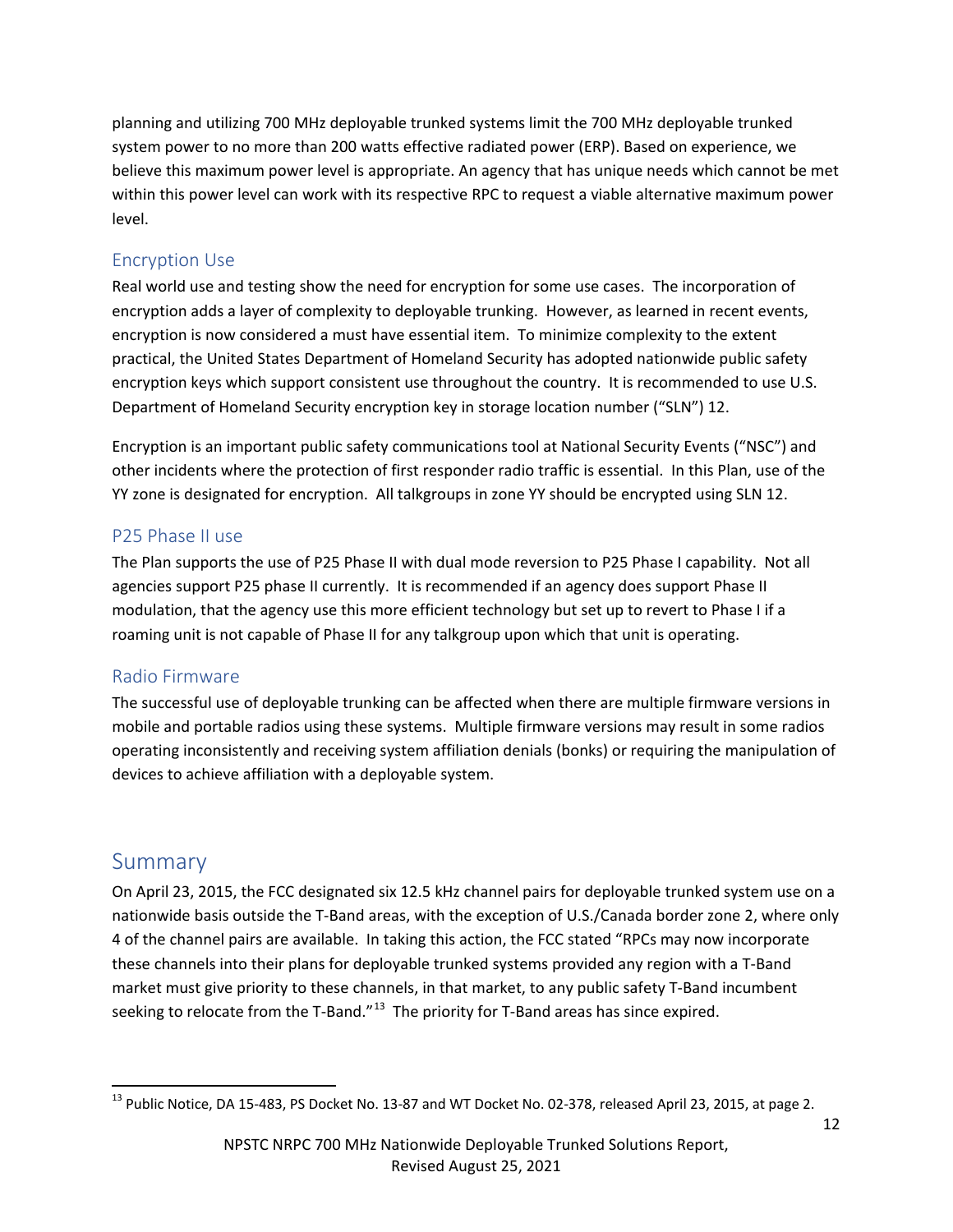planning and utilizing 700 MHz deployable trunked systems limit the 700 MHz deployable trunked system power to no more than 200 watts effective radiated power (ERP). Based on experience, we believe this maximum power level is appropriate. An agency that has unique needs which cannot be met within this power level can work with its respective RPC to request a viable alternative maximum power level.

### <span id="page-11-0"></span>Encryption Use

Real world use and testing show the need for encryption for some use cases. The incorporation of encryption adds a layer of complexity to deployable trunking. However, as learned in recent events, encryption is now considered a must have essential item. To minimize complexity to the extent practical, the United States Department of Homeland Security has adopted nationwide public safety encryption keys which support consistent use throughout the country. It is recommended to use U.S. Department of Homeland Security encryption key in storage location number ("SLN") 12.

Encryption is an important public safety communications tool at National Security Events ("NSC") and other incidents where the protection of first responder radio traffic is essential. In this Plan, use of the YY zone is designated for encryption. All talkgroups in zone YY should be encrypted using SLN 12.

### <span id="page-11-1"></span>P25 Phase II use

The Plan supports the use of P25 Phase II with dual mode reversion to P25 Phase I capability. Not all agencies support P25 phase II currently. It is recommended if an agency does support Phase II modulation, that the agency use this more efficient technology but set up to revert to Phase I if a roaming unit is not capable of Phase II for any talkgroup upon which that unit is operating.

#### Radio Firmware

The successful use of deployable trunking can be affected when there are multiple firmware versions in mobile and portable radios using these systems. Multiple firmware versions may result in some radios operating inconsistently and receiving system affiliation denials (bonks) or requiring the manipulation of devices to achieve affiliation with a deployable system.

# <span id="page-11-2"></span>Summary

On April 23, 2015, the FCC designated six 12.5 kHz channel pairs for deployable trunked system use on a nationwide basis outside the T-Band areas, with the exception of U.S./Canada border zone 2, where only 4 of the channel pairs are available. In taking this action, the FCC stated "RPCs may now incorporate these channels into their plans for deployable trunked systems provided any region with a T-Band market must give priority to these channels, in that market, to any public safety T-Band incumbent seeking to relocate from the T-Band."<sup>13</sup> The priority for T-Band areas has since expired.

<span id="page-11-3"></span><sup>&</sup>lt;sup>13</sup> Public Notice, DA 15-483, PS Docket No. 13-87 and WT Docket No. 02-378, released April 23, 2015, at page 2.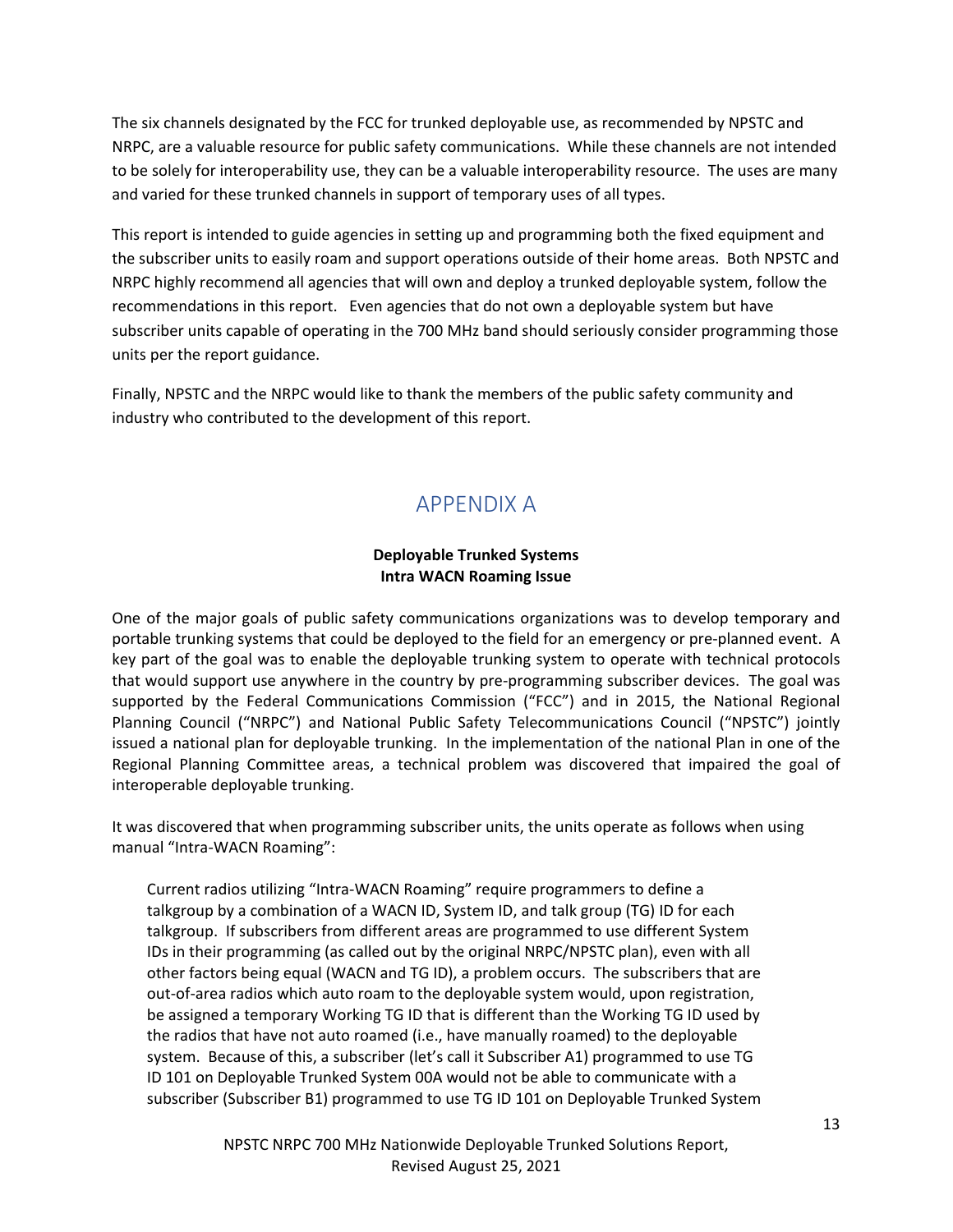The six channels designated by the FCC for trunked deployable use, as recommended by NPSTC and NRPC, are a valuable resource for public safety communications. While these channels are not intended to be solely for interoperability use, they can be a valuable interoperability resource. The uses are many and varied for these trunked channels in support of temporary uses of all types.

This report is intended to guide agencies in setting up and programming both the fixed equipment and the subscriber units to easily roam and support operations outside of their home areas. Both NPSTC and NRPC highly recommend all agencies that will own and deploy a trunked deployable system, follow the recommendations in this report. Even agencies that do not own a deployable system but have subscriber units capable of operating in the 700 MHz band should seriously consider programming those units per the report guidance.

<span id="page-12-0"></span>Finally, NPSTC and the NRPC would like to thank the members of the public safety community and industry who contributed to the development of this report.

# APPENDIX A

#### **Deployable Trunked Systems Intra WACN Roaming Issue**

One of the major goals of public safety communications organizations was to develop temporary and portable trunking systems that could be deployed to the field for an emergency or pre-planned event. A key part of the goal was to enable the deployable trunking system to operate with technical protocols that would support use anywhere in the country by pre-programming subscriber devices. The goal was supported by the Federal Communications Commission ("FCC") and in 2015, the National Regional Planning Council ("NRPC") and National Public Safety Telecommunications Council ("NPSTC") jointly issued a national plan for deployable trunking. In the implementation of the national Plan in one of the Regional Planning Committee areas, a technical problem was discovered that impaired the goal of interoperable deployable trunking.

It was discovered that when programming subscriber units, the units operate as follows when using manual "Intra-WACN Roaming":

Current radios utilizing "Intra-WACN Roaming" require programmers to define a talkgroup by a combination of a WACN ID, System ID, and talk group (TG) ID for each talkgroup. If subscribers from different areas are programmed to use different System IDs in their programming (as called out by the original NRPC/NPSTC plan), even with all other factors being equal (WACN and TG ID), a problem occurs. The subscribers that are out-of-area radios which auto roam to the deployable system would, upon registration, be assigned a temporary Working TG ID that is different than the Working TG ID used by the radios that have not auto roamed (i.e., have manually roamed) to the deployable system. Because of this, a subscriber (let's call it Subscriber A1) programmed to use TG ID 101 on Deployable Trunked System 00A would not be able to communicate with a subscriber (Subscriber B1) programmed to use TG ID 101 on Deployable Trunked System